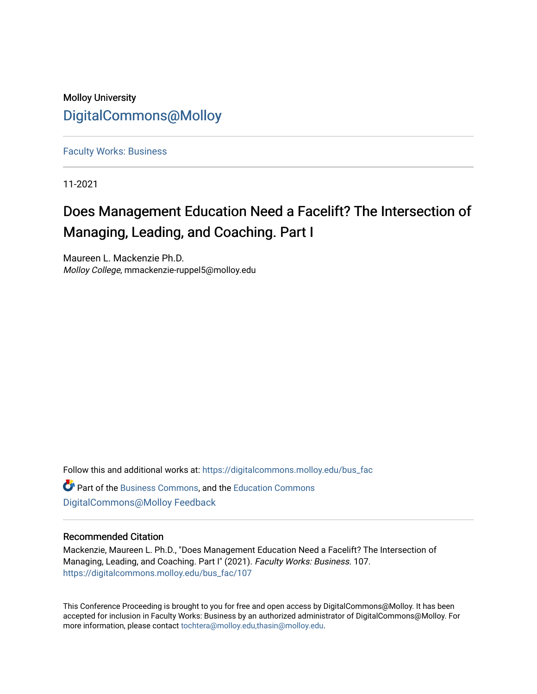# Molloy University [DigitalCommons@Molloy](https://digitalcommons.molloy.edu/)

[Faculty Works: Business](https://digitalcommons.molloy.edu/bus_fac) 

11-2021

# Does Management Education Need a Facelift? The Intersection of Managing, Leading, and Coaching. Part I

Maureen L. Mackenzie Ph.D. Molloy College, mmackenzie-ruppel5@molloy.edu

Follow this and additional works at: [https://digitalcommons.molloy.edu/bus\\_fac](https://digitalcommons.molloy.edu/bus_fac?utm_source=digitalcommons.molloy.edu%2Fbus_fac%2F107&utm_medium=PDF&utm_campaign=PDFCoverPages)

**C**<sup> $\bullet$ </sup> Part of the [Business Commons](https://network.bepress.com/hgg/discipline/622?utm_source=digitalcommons.molloy.edu%2Fbus_fac%2F107&utm_medium=PDF&utm_campaign=PDFCoverPages), and the [Education Commons](https://network.bepress.com/hgg/discipline/784?utm_source=digitalcommons.molloy.edu%2Fbus_fac%2F107&utm_medium=PDF&utm_campaign=PDFCoverPages) [DigitalCommons@Molloy Feedback](https://molloy.libwizard.com/f/dcfeedback)

# Recommended Citation

Mackenzie, Maureen L. Ph.D., "Does Management Education Need a Facelift? The Intersection of Managing, Leading, and Coaching. Part I" (2021). Faculty Works: Business. 107. [https://digitalcommons.molloy.edu/bus\\_fac/107](https://digitalcommons.molloy.edu/bus_fac/107?utm_source=digitalcommons.molloy.edu%2Fbus_fac%2F107&utm_medium=PDF&utm_campaign=PDFCoverPages)

This Conference Proceeding is brought to you for free and open access by DigitalCommons@Molloy. It has been accepted for inclusion in Faculty Works: Business by an authorized administrator of DigitalCommons@Molloy. For more information, please contact [tochtera@molloy.edu,thasin@molloy.edu.](mailto:tochtera@molloy.edu,thasin@molloy.edu)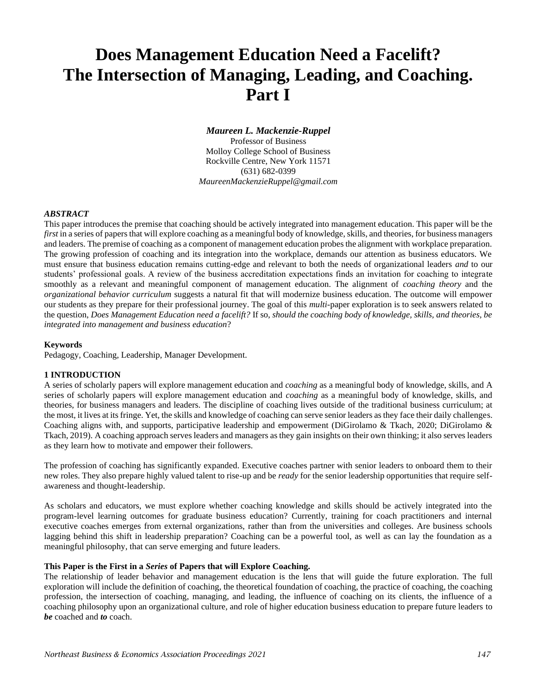# **Does Management Education Need a Facelift? The Intersection of Managing, Leading, and Coaching. Part I**

### *Maureen L. Mackenzie-Ruppel*

Professor of Business Molloy College School of Business Rockville Centre, New York 11571 (631) 682-0399 *MaureenMackenzieRuppel@gmail.com*

#### *ABSTRACT*

This paper introduces the premise that coaching should be actively integrated into management education. This paper will be the *first* in a series of papers that will explore coaching as a meaningful body of knowledge, skills, and theories, for business managers and leaders. The premise of coaching as a component of management education probes the alignment with workplace preparation. The growing profession of coaching and its integration into the workplace, demands our attention as business educators. We must ensure that business education remains cutting-edge and relevant to both the needs of organizational leaders *and* to our students' professional goals. A review of the business accreditation expectations finds an invitation for coaching to integrate smoothly as a relevant and meaningful component of management education. The alignment of *coaching theory* and the *organizational behavior curriculum* suggests a natural fit that will modernize business education. The outcome will empower our students as they prepare for their professional journey. The goal of this *multi*-paper exploration is to seek answers related to the question, *Does Management Education need a facelift?* If so, *should the coaching body of knowledge, skills, and theories, be integrated into management and business education*?

#### **Keywords**

Pedagogy, Coaching, Leadership, Manager Development.

#### **1 INTRODUCTION**

A series of scholarly papers will explore management education and *coaching* as a meaningful body of knowledge, skills, and A series of scholarly papers will explore management education and *coaching* as a meaningful body of knowledge, skills, and theories, for business managers and leaders. The discipline of coaching lives outside of the traditional business curriculum; at the most, it lives at its fringe. Yet, the skills and knowledge of coaching can serve senior leaders as they face their daily challenges. Coaching aligns with, and supports, participative leadership and empowerment (DiGirolamo & Tkach, 2020; DiGirolamo & Tkach, 2019). A coaching approach serves leaders and managers as they gain insights on their own thinking; it also serves leaders as they learn how to motivate and empower their followers.

The profession of coaching has significantly expanded. Executive coaches partner with senior leaders to onboard them to their new roles. They also prepare highly valued talent to rise-up and be *ready* for the senior leadership opportunities that require selfawareness and thought-leadership.

As scholars and educators, we must explore whether coaching knowledge and skills should be actively integrated into the program-level learning outcomes for graduate business education? Currently, training for coach practitioners and internal executive coaches emerges from external organizations, rather than from the universities and colleges. Are business schools lagging behind this shift in leadership preparation? Coaching can be a powerful tool, as well as can lay the foundation as a meaningful philosophy, that can serve emerging and future leaders.

#### **This Paper is the First in a** *Series* **of Papers that will Explore Coaching.**

The relationship of leader behavior and management education is the lens that will guide the future exploration. The full exploration will include the definition of coaching, the theoretical foundation of coaching, the practice of coaching, the coaching profession, the intersection of coaching, managing, and leading, the influence of coaching on its clients, the influence of a coaching philosophy upon an organizational culture, and role of higher education business education to prepare future leaders to *be* coached and *to* coach.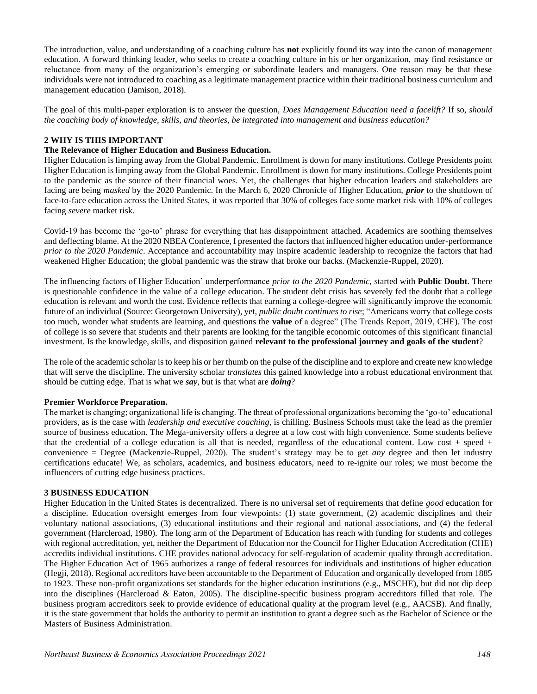The introduction, value, and understanding of a coaching culture has **not** explicitly found its way into the canon of management education. A forward thinking leader, who seeks to create a coaching culture in his or her organization, may find resistance or reluctance from many of the organization's emerging or subordinate leaders and managers. One reason may be that these individuals were not introduced to coaching as a legitimate management practice within their traditional business curriculum and management education (Jamison, 2018).

The goal of this multi-paper exploration is to answer the question, *Does Management Education need a facelift?* If so*, should the coaching body of knowledge, skills, and theories, be integrated into management and business education?* 

# **2 WHY IS THIS IMPORTANT**

# **The Relevance of Higher Education and Business Education.**

Higher Education is limping away from the Global Pandemic. Enrollment is down for many institutions. College Presidents point Higher Education is limping away from the Global Pandemic. Enrollment is down for many institutions. College Presidents point to the pandemic as the source of their financial woes. Yet, the challenges that higher education leaders and stakeholders are facing are being *masked* by the 2020 Pandemic. In the March 6, 2020 Chronicle of Higher Education, *prior* to the shutdown of face-to-face education across the United States, it was reported that 30% of colleges face some market risk with 10% of colleges facing *severe* market risk.

Covid-19 has become the 'go-to' phrase for everything that has disappointment attached. Academics are soothing themselves and deflecting blame. At the 2020 NBEA Conference, I presented the factors that influenced higher education under-performance *prior to the 2020 Pandemic*. Acceptance and accountability may inspire academic leadership to recognize the factors that had weakened Higher Education; the global pandemic was the straw that broke our backs. (Mackenzie-Ruppel, 2020).

The influencing factors of Higher Education' underperformance *prior to the 2020 Pandemic,* started with **Public Doubt**. There is questionable confidence in the value of a college education. The student debt crisis has severely fed the doubt that a college education is relevant and worth the cost. Evidence reflects that earning a college-degree will significantly improve the economic future of an individual (Source: Georgetown University), yet, *public doubt continues to rise*; "Americans worry that college costs too much, wonder what students are learning, and questions the **value** of a degree" (The Trends Report, 2019, CHE). The cost of college is so severe that students and their parents are looking for the tangible economic outcomes of this significant financial investment. Is the knowledge, skills, and disposition gained **relevant to the professional journey and goals of the student**?

The role of the academic scholar is to keep his or her thumb on the pulse of the discipline and to explore and create new knowledge that will serve the discipline. The university scholar *translates* this gained knowledge into a robust educational environment that should be cutting edge. That is what we *say*, but is that what are *doing*?

#### **Premier Workforce Preparation.**

The market is changing; organizational life is changing. The threat of professional organizations becoming the 'go-to' educational providers, as is the case with *leadership and executive coaching*, is chilling. Business Schools must take the lead as the premier source of business education. The Mega-university offers a degree at a low cost with high convenience. Some students believe that the credential of a college education is all that is needed, regardless of the educational content. Low cost  $+$  speed  $+$ convenience = Degree (Mackenzie-Ruppel, 2020). The student's strategy may be to get *any* degree and then let industry certifications educate! We, as scholars, academics, and business educators, need to re-ignite our roles; we must become the influencers of cutting edge business practices.

#### **3 BUSINESS EDUCATION**

Higher Education in the United States is decentralized. There is no universal set of requirements that define *good* education for a discipline. Education oversight emerges from four viewpoints: (1) state government, (2) academic disciplines and their voluntary national associations, (3) educational institutions and their regional and national associations, and (4) the federal government (Harcleroad, 1980). The long arm of the Department of Education has reach with funding for students and colleges with regional accreditation, yet, neither the Department of Education nor the Council for Higher Education Accreditation (CHE) accredits individual institutions. CHE provides national advocacy for self-regulation of academic quality through accreditation. The Higher Education Act of 1965 authorizes a range of federal resources for individuals and institutions of higher education (Hegji, 2018). Regional accreditors have been accountable to the Department of Education and organically developed from 1885 to 1923. These non-profit organizations set standards for the higher education institutions (e.g., MSCHE), but did not dip deep into the disciplines (Harcleroad & Eaton, 2005). The discipline-specific business program accreditors filled that role. The business program accreditors seek to provide evidence of educational quality at the program level (e.g., AACSB). And finally, it is the state government that holds the authority to permit an institution to grant a degree such as the Bachelor of Science or the Masters of Business Administration.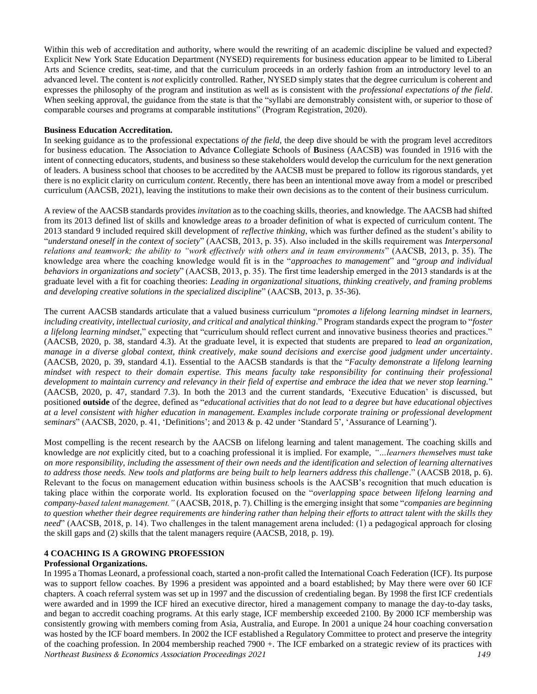Within this web of accreditation and authority, where would the rewriting of an academic discipline be valued and expected? Explicit New York State Education Department (NYSED) requirements for business education appear to be limited to Liberal Arts and Science credits, seat-time, and that the curriculum proceeds in an orderly fashion from an introductory level to an advanced level. The content is *not* explicitly controlled. Rather, NYSED simply states that the degree curriculum is coherent and expresses the philosophy of the program and institution as well as is consistent with the *professional expectations of the field*. When seeking approval, the guidance from the state is that the "syllabi are demonstrably consistent with, or superior to those of comparable courses and programs at comparable institutions" (Program Registration, 2020).

#### **Business Education Accreditation.**

In seeking guidance as to the professional expectations *of the field*, the deep dive should be with the program level accreditors for business education. The **A**ssociation to **A**dvance **C**ollegiate **S**chools of **B**usiness (AACSB) was founded in 1916 with the intent of connecting educators, students, and business so these stakeholders would develop the curriculum for the next generation of leaders. A business school that chooses to be accredited by the AACSB must be prepared to follow its rigorous standards, yet there is no explicit clarity on curriculum *content*. Recently, there has been an intentional move away from a model or prescribed curriculum (AACSB, 2021), leaving the institutions to make their own decisions as to the content of their business curriculum.

A review of the AACSB standards provides *invitation* as to the coaching skills, theories, and knowledge. The AACSB had shifted from its 2013 defined list of skills and knowledge areas *to* a broader definition of what is expected of curriculum content. The 2013 standard 9 included required skill development of *reflective thinking*, which was further defined as the student's ability to "*understand oneself in the context of society*" (AACSB, 2013, p. 35). Also included in the skills requirement was *Interpersonal relations and teamwork; the ability to "work effectively with others and in team environments*" (AACSB, 2013, p. 35). The knowledge area where the coaching knowledge would fit is in the "*approaches to management*" and "*group and individual behaviors in organizations and society*" (AACSB, 2013, p. 35). The first time leadership emerged in the 2013 standards is at the graduate level with a fit for coaching theories: *Leading in organizational situations, thinking creatively, and framing problems and developing creative solutions in the specialized discipline*" (AACSB, 2013, p. 35-36).

The current AACSB standards articulate that a valued business curriculum "*promotes a lifelong learning mindset in learners, including creativity, intellectual curiosity, and critical and analytical thinking*." Program standards expect the program to "*foster a lifelong learning mindset*," expecting that "curriculum should reflect current and innovative business theories and practices." (AACSB, 2020, p. 38, standard 4.3). At the graduate level, it is expected that students are prepared to *lead an organization, manage in a diverse global context, think creatively, make sound decisions and exercise good judgment under uncertainty*. (AACSB, 2020, p. 39, standard 4.1). Essential to the AACSB standards is that the "*Faculty demonstrate a lifelong learning mindset with respect to their domain expertise. This means faculty take responsibility for continuing their professional development to maintain currency and relevancy in their field of expertise and embrace the idea that we never stop learning.*" (AACSB, 2020, p. 47, standard 7.3). In both the 2013 and the current standards, 'Executive Education' is discussed, but positioned **outside** of the degree, defined as "*educational activities that do not lead to a degree but have educational objectives at a level consistent with higher education in management. Examples include corporate training or professional development seminars*" (AACSB, 2020, p. 41, 'Definitions'; and 2013 & p. 42 under 'Standard 5', 'Assurance of Learning').

Most compelling is the recent research by the AACSB on lifelong learning and talent management. The coaching skills and knowledge are *not* explicitly cited, but to a coaching professional it is implied. For example, *"…learners themselves must take on more responsibility, including the assessment of their own needs and the identification and selection of learning alternatives to address those needs. New tools and platforms are being built to help learners address this challenge*." (AACSB 2018, p. 6). Relevant to the focus on management education within business schools is the AACSB's recognition that much education is taking place within the corporate world. Its exploration focused on the "*overlapping space between lifelong learning and company-based talent management."* (AACSB, 2018, p. 7). Chilling is the emerging insight that some "*companies are beginning to question whether their degree requirements are hindering rather than helping their efforts to attract talent with the skills they need*" (AACSB, 2018, p. 14). Two challenges in the talent management arena included: (1) a pedagogical approach for closing the skill gaps and (2) skills that the talent managers require (AACSB, 2018, p. 19).

# **4 COACHING IS A GROWING PROFESSION**

# **Professional Organizations.**

*Northeast Business & Economics Association Proceedings 2021 149* In 1995 a Thomas Leonard, a professional coach, started a non-profit called the International Coach Federation (ICF). Its purpose was to support fellow coaches. By 1996 a president was appointed and a board established; by May there were over 60 ICF chapters. A coach referral system was set up in 1997 and the discussion of credentialing began. By 1998 the first ICF credentials were awarded and in 1999 the ICF hired an executive director, hired a management company to manage the day-to-day tasks, and began to accredit coaching programs. At this early stage, ICF membership exceeded 2100. By 2000 ICF membership was consistently growing with members coming from Asia, Australia, and Europe. In 2001 a unique 24 hour coaching conversation was hosted by the ICF board members. In 2002 the ICF established a Regulatory Committee to protect and preserve the integrity of the coaching profession. In 2004 membership reached 7900 +. The ICF embarked on a strategic review of its practices with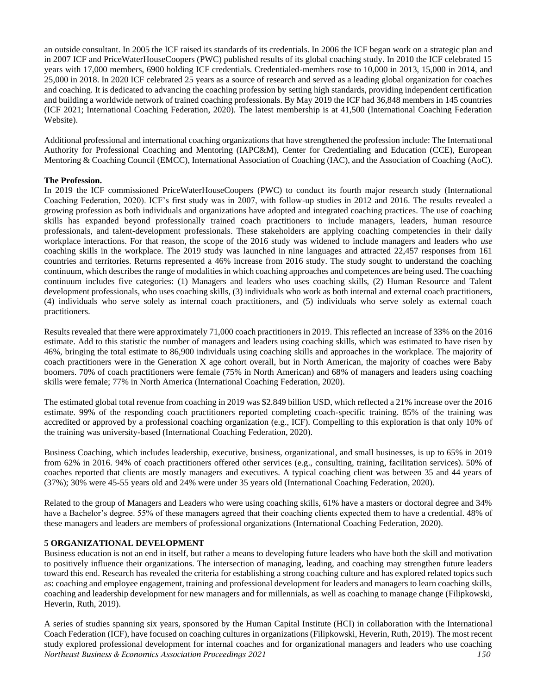an outside consultant. In 2005 the ICF raised its standards of its credentials. In 2006 the ICF began work on a strategic plan and in 2007 ICF and PriceWaterHouseCoopers (PWC) published results of its global coaching study. In 2010 the ICF celebrated 15 years with 17,000 members, 6900 holding ICF credentials. Credentialed-members rose to 10,000 in 2013, 15,000 in 2014, and 25,000 in 2018. In 2020 ICF celebrated 25 years as a source of research and served as a leading global organization for coaches and coaching. It is dedicated to advancing the coaching profession by setting high standards, providing independent certification and building a worldwide network of trained coaching professionals. By May 2019 the ICF had 36,848 members in 145 countries (ICF 2021; International Coaching Federation, 2020). The latest membership is at 41,500 (International Coaching Federation Website).

Additional professional and international coaching organizations that have strengthened the profession include: The International Authority for Professional Coaching and Mentoring (IAPC&M), Center for Credentialing and Education (CCE), European Mentoring & Coaching Council (EMCC), International Association of Coaching (IAC), and the Association of Coaching (AoC).

# **The Profession.**

In 2019 the ICF commissioned PriceWaterHouseCoopers (PWC) to conduct its fourth major research study (International Coaching Federation, 2020). ICF's first study was in 2007, with follow-up studies in 2012 and 2016. The results revealed a growing profession as both individuals and organizations have adopted and integrated coaching practices. The use of coaching skills has expanded beyond professionally trained coach practitioners to include managers, leaders, human resource professionals, and talent-development professionals. These stakeholders are applying coaching competencies in their daily workplace interactions. For that reason, the scope of the 2016 study was widened to include managers and leaders who *use* coaching skills in the workplace. The 2019 study was launched in nine languages and attracted 22,457 responses from 161 countries and territories. Returns represented a 46% increase from 2016 study. The study sought to understand the coaching continuum, which describes the range of modalities in which coaching approaches and competences are being used. The coaching continuum includes five categories: (1) Managers and leaders who uses coaching skills, (2) Human Resource and Talent development professionals, who uses coaching skills, (3) individuals who work as both internal and external coach practitioners, (4) individuals who serve solely as internal coach practitioners, and (5) individuals who serve solely as external coach practitioners.

Results revealed that there were approximately 71,000 coach practitioners in 2019. This reflected an increase of 33% on the 2016 estimate. Add to this statistic the number of managers and leaders using coaching skills, which was estimated to have risen by 46%, bringing the total estimate to 86,900 individuals using coaching skills and approaches in the workplace. The majority of coach practitioners were in the Generation X age cohort overall, but in North American, the majority of coaches were Baby boomers. 70% of coach practitioners were female (75% in North American) and 68% of managers and leaders using coaching skills were female; 77% in North America (International Coaching Federation, 2020).

The estimated global total revenue from coaching in 2019 was \$2.849 billion USD, which reflected a 21% increase over the 2016 estimate. 99% of the responding coach practitioners reported completing coach-specific training. 85% of the training was accredited or approved by a professional coaching organization (e.g., ICF). Compelling to this exploration is that only 10% of the training was university-based (International Coaching Federation, 2020).

Business Coaching, which includes leadership, executive, business, organizational, and small businesses, is up to 65% in 2019 from 62% in 2016. 94% of coach practitioners offered other services (e.g., consulting, training, facilitation services). 50% of coaches reported that clients are mostly managers and executives. A typical coaching client was between 35 and 44 years of (37%); 30% were 45-55 years old and 24% were under 35 years old (International Coaching Federation, 2020).

Related to the group of Managers and Leaders who were using coaching skills, 61% have a masters or doctoral degree and 34% have a Bachelor's degree. 55% of these managers agreed that their coaching clients expected them to have a credential. 48% of these managers and leaders are members of professional organizations (International Coaching Federation, 2020).

# **5 ORGANIZATIONAL DEVELOPMENT**

Business education is not an end in itself, but rather a means to developing future leaders who have both the skill and motivation to positively influence their organizations. The intersection of managing, leading, and coaching may strengthen future leaders toward this end. Research has revealed the criteria for establishing a strong coaching culture and has explored related topics such as: coaching and employee engagement, training and professional development for leaders and managers to learn coaching skills, coaching and leadership development for new managers and for millennials, as well as coaching to manage change (Filipkowski, Heverin, Ruth, 2019).

*Northeast Business & Economics Association Proceedings 2021 150* A series of studies spanning six years, sponsored by the Human Capital Institute (HCI) in collaboration with the International Coach Federation (ICF), have focused on coaching cultures in organizations (Filipkowski, Heverin, Ruth, 2019). The most recent study explored professional development for internal coaches and for organizational managers and leaders who use coaching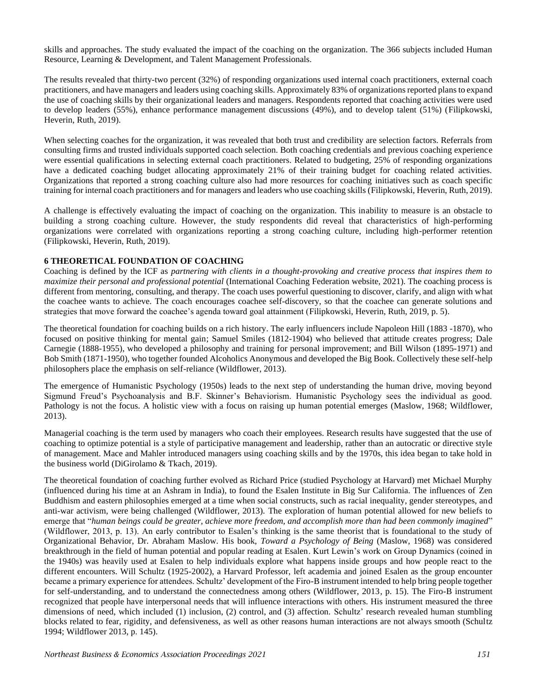skills and approaches. The study evaluated the impact of the coaching on the organization. The 366 subjects included Human Resource, Learning & Development, and Talent Management Professionals.

The results revealed that thirty-two percent (32%) of responding organizations used internal coach practitioners, external coach practitioners, and have managers and leaders using coaching skills. Approximately 83% of organizations reported plans to expand the use of coaching skills by their organizational leaders and managers. Respondents reported that coaching activities were used to develop leaders (55%), enhance performance management discussions (49%), and to develop talent (51%) (Filipkowski, Heverin, Ruth, 2019).

When selecting coaches for the organization, it was revealed that both trust and credibility are selection factors. Referrals from consulting firms and trusted individuals supported coach selection. Both coaching credentials and previous coaching experience were essential qualifications in selecting external coach practitioners. Related to budgeting, 25% of responding organizations have a dedicated coaching budget allocating approximately 21% of their training budget for coaching related activities. Organizations that reported a strong coaching culture also had more resources for coaching initiatives such as coach specific training for internal coach practitioners and for managers and leaders who use coaching skills (Filipkowski, Heverin, Ruth, 2019).

A challenge is effectively evaluating the impact of coaching on the organization. This inability to measure is an obstacle to building a strong coaching culture. However, the study respondents did reveal that characteristics of high-performing organizations were correlated with organizations reporting a strong coaching culture, including high-performer retention (Filipkowski, Heverin, Ruth, 2019).

# **6 THEORETICAL FOUNDATION OF COACHING**

Coaching is defined by the ICF as *partnering with clients in a thought-provoking and creative process that inspires them to maximize their personal and professional potential* (International Coaching Federation website, 2021). The coaching process is different from mentoring, consulting, and therapy. The coach uses powerful questioning to discover, clarify, and align with what the coachee wants to achieve. The coach encourages coachee self-discovery, so that the coachee can generate solutions and strategies that move forward the coachee's agenda toward goal attainment (Filipkowski, Heverin, Ruth, 2019, p. 5).

The theoretical foundation for coaching builds on a rich history. The early influencers include Napoleon Hill (1883 -1870), who focused on positive thinking for mental gain; Samuel Smiles (1812-1904) who believed that attitude creates progress; Dale Carnegie (1888-1955), who developed a philosophy and training for personal improvement; and Bill Wilson (1895-1971) and Bob Smith (1871-1950), who together founded Alcoholics Anonymous and developed the Big Book. Collectively these self-help philosophers place the emphasis on self-reliance (Wildflower, 2013).

The emergence of Humanistic Psychology (1950s) leads to the next step of understanding the human drive, moving beyond Sigmund Freud's Psychoanalysis and B.F. Skinner's Behaviorism. Humanistic Psychology sees the individual as good. Pathology is not the focus. A holistic view with a focus on raising up human potential emerges (Maslow, 1968; Wildflower, 2013).

Managerial coaching is the term used by managers who coach their employees. Research results have suggested that the use of coaching to optimize potential is a style of participative management and leadership, rather than an autocratic or directive style of management. Mace and Mahler introduced managers using coaching skills and by the 1970s, this idea began to take hold in the business world (DiGirolamo & Tkach, 2019).

The theoretical foundation of coaching further evolved as Richard Price (studied Psychology at Harvard) met Michael Murphy (influenced during his time at an Ashram in India), to found the Esalen Institute in Big Sur California. The influences of Zen Buddhism and eastern philosophies emerged at a time when social constructs, such as racial inequality, gender stereotypes, and anti-war activism, were being challenged (Wildflower, 2013). The exploration of human potential allowed for new beliefs to emerge that "*human beings could be greater, achieve more freedom, and accomplish more than had been commonly imagined*" (Wildflower, 2013, p. 13). An early contributor to Esalen's thinking is the same theorist that is foundational to the study of Organizational Behavior, Dr. Abraham Maslow. His book, *Toward a Psychology of Being* (Maslow, 1968) was considered breakthrough in the field of human potential and popular reading at Esalen. Kurt Lewin's work on Group Dynamics (coined in the 1940s) was heavily used at Esalen to help individuals explore what happens inside groups and how people react to the different encounters. Will Schultz (1925-2002), a Harvard Professor, left academia and joined Esalen as the group encounter became a primary experience for attendees. Schultz' development of the Firo-B instrument intended to help bring people together for self-understanding, and to understand the connectedness among others (Wildflower, 2013, p. 15). The Firo-B instrument recognized that people have interpersonal needs that will influence interactions with others. His instrument measured the three dimensions of need, which included (1) inclusion, (2) control, and (3) affection. Schultz' research revealed human stumbling blocks related to fear, rigidity, and defensiveness, as well as other reasons human interactions are not always smooth (Schultz 1994; Wildflower 2013, p. 145).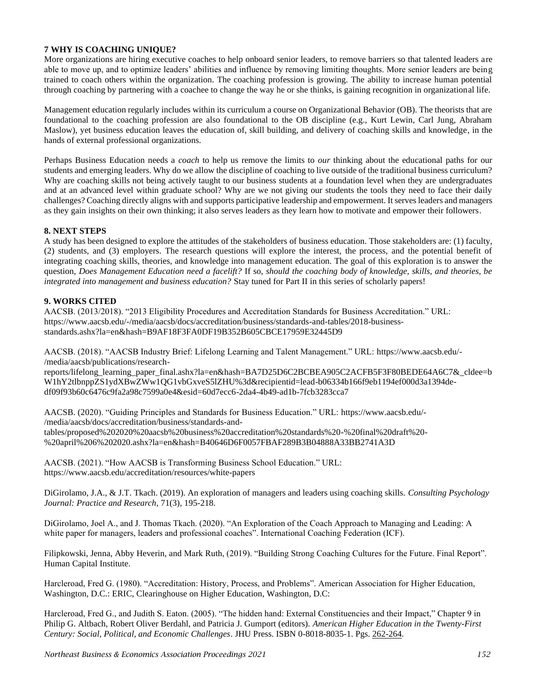# **7 WHY IS COACHING UNIQUE?**

More organizations are hiring executive coaches to help onboard senior leaders, to remove barriers so that talented leaders are able to move up, and to optimize leaders' abilities and influence by removing limiting thoughts. More senior leaders are being trained to coach others within the organization. The coaching profession is growing. The ability to increase human potential through coaching by partnering with a coachee to change the way he or she thinks, is gaining recognition in organizational life.

Management education regularly includes within its curriculum a course on Organizational Behavior (OB). The theorists that are foundational to the coaching profession are also foundational to the OB discipline (e.g., Kurt Lewin, Carl Jung, Abraham Maslow), yet business education leaves the education of, skill building, and delivery of coaching skills and knowledge, in the hands of external professional organizations.

Perhaps Business Education needs a *coach* to help us remove the limits to *our* thinking about the educational paths for our students and emerging leaders. Why do we allow the discipline of coaching to live outside of the traditional business curriculum? Why are coaching skills not being actively taught to our business students at a foundation level when they are undergraduates and at an advanced level within graduate school? Why are we not giving our students the tools they need to face their daily challenges? Coaching directly aligns with and supports participative leadership and empowerment. It serves leaders and managers as they gain insights on their own thinking; it also serves leaders as they learn how to motivate and empower their followers.

# **8. NEXT STEPS**

A study has been designed to explore the attitudes of the stakeholders of business education. Those stakeholders are: (1) faculty, (2) students, and (3) employers. The research questions will explore the interest, the process, and the potential benefit of integrating coaching skills, theories, and knowledge into management education. The goal of this exploration is to answer the question, *Does Management Education need a facelift?* If so, *should the coaching body of knowledge, skills, and theories, be integrated into management and business education?* Stay tuned for Part II in this series of scholarly papers!

#### **9. WORKS CITED**

AACSB. (2013/2018). "2013 Eligibility Procedures and Accreditation Standards for Business Accreditation." URL: https://www.aacsb.edu/-/media/aacsb/docs/accreditation/business/standards-and-tables/2018-businessstandards.ashx?la=en&hash=B9AF18F3FA0DF19B352B605CBCE17959E32445D9

AACSB. (2018). "AACSB Industry Brief: Lifelong Learning and Talent Management." URL: https://www.aacsb.edu/- /media/aacsb/publications/research-

reports/lifelong\_learning\_paper\_final.ashx?la=en&hash=BA7D25D6C2BCBEA905C2ACFB5F3F80BEDE64A6C7&\_cldee=b W1hY2tlbnppZS1ydXBwZWw1QG1vbGxveS5lZHU%3d&recipientid=lead-b06334b166f9eb1194ef000d3a1394dedf09f93b60c6476c9fa2a98c7599a0e4&esid=60d7ecc6-2da4-4b49-ad1b-7fcb3283cca7

AACSB. (2020). "Guiding Principles and Standards for Business Education." URL: https://www.aacsb.edu/- /media/aacsb/docs/accreditation/business/standards-andtables/proposed%202020%20aacsb%20business%20accreditation%20standards%20-%20final%20draft%20- %20april%206%202020.ashx?la=en&hash=B40646D6F0057FBAF289B3B04888A33BB2741A3D

AACSB. (2021). "How AACSB is Transforming Business School Education." URL: https://www.aacsb.edu/accreditation/resources/white-papers

DiGirolamo, J.A., & J.T. Tkach. (2019). An exploration of managers and leaders using coaching skills. *Consulting Psychology Journal: Practice and Research*, 71(3), 195-218.

DiGirolamo, Joel A., and J. Thomas Tkach. (2020). "An Exploration of the Coach Approach to Managing and Leading: A white paper for managers, leaders and professional coaches". International Coaching Federation (ICF).

Filipkowski, Jenna, Abby Heverin, and Mark Ruth, (2019). "Building Strong Coaching Cultures for the Future. Final Report". Human Capital Institute.

Harcleroad, Fred G. (1980). "Accreditation: History, Process, and Problems". American Association for Higher Education, Washington, D.C.: ERIC, Clearinghouse on Higher Education, Washington, D.C:

Harcleroad, Fred G., and Judith S. Eaton. (2005). "The hidden hand: External Constituencies and their Impact," Chapter 9 in Philip G. Altbach, Robert Oliver Berdahl, and Patricia J. Gumport (editors). *American Higher Education in the Twenty-First Century: Social, Political, and Economic Challenges*. JHU Press. ISBN 0-8018-8035-1. Pgs. 262-264.